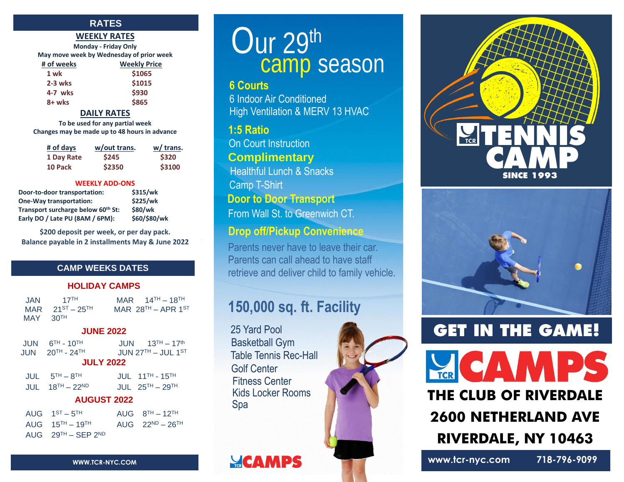### **RATES**

#### **WEEKLY RATES**

**Monday - Friday Only May move week by Wednesday of prior week**

| # of weeks | <b>Weekly Price</b> |
|------------|---------------------|
| 1 wk       | \$1065              |
| $2-3$ wks  | \$1015              |
| 4-7 wks    | \$930               |
| 8+ wks     | \$865               |

#### **DAILY RATES**

**To be used for any partial week Changes may be made up to 48 hours in advance**

| # of days  | w/out trans. | w/ trans. |
|------------|--------------|-----------|
| 1 Day Rate | <b>S245</b>  | \$320     |
| 10 Pack    | \$2350       | \$3100    |

#### **WEEKLY ADD-ONS**

| Door-to-door transportation:       | \$315/wk     |
|------------------------------------|--------------|
| <b>One-Way transportation:</b>     | \$225/wk     |
| Transport surcharge below 60th St: | \$80/wk      |
| Early DO / Late PU (8AM / 6PM):    | \$60/\$80/wk |

**\$200 deposit per week, or per day pack. Balance payable in 2 installments May & June 2022**

### **CAMP WEEKS DATES**

#### **HOLIDAY CAMPS**

| JAN .      | $17$ <sup>TH</sup>      | MAR $14$ <sup>TH</sup> - 18 <sup>TH</sup> |
|------------|-------------------------|-------------------------------------------|
|            | MAR $21^{ST} - 25^{TH}$ | MAR $28^{TH}$ – APR 1ST                   |
| $MAY$ 30TH |                         |                                           |

#### **JUNE 2022**

| $JUN$ $6TH - 10TH$<br>$JUN$ $20TH - 24TH$                       | $JUN = 13TH - 17th$<br>JUN $27TH - JUL$ 1 <sup>ST</sup><br><b>JULY 2022</b> |
|-----------------------------------------------------------------|-----------------------------------------------------------------------------|
| $JUL$ $5TH - 8TH$<br>$JUIL$ 18 <sup>TH</sup> - 22 <sup>ND</sup> | $JUIL$ 11 <sup>TH</sup> - 15 <sup>TH</sup><br>JUL $25^{TH}$ – $29^{TH}$     |

| <b>AUGUST 2022</b>  |               |  |
|---------------------|---------------|--|
| $18^{TH} - 22^{ND}$ | <b>JUL 25</b> |  |

| AUG $1^{ST} - 5^{TH}$               | AUG $8^{TH} - 12^{TH}$  |
|-------------------------------------|-------------------------|
| AUG $15^{TH} - 19^{TH}$             | AUG $22^{ND} - 26^{TH}$ |
| AUG $29^{TH}$ – SEP 2 <sup>ND</sup> |                         |

# Our 29<sup>th</sup> camp season

### **6 Courts**

6 Indoor Air Conditioned High Ventilation & MERV 13 HVAC

### Rain or Shine **1:5 Ratio**

On Court Instruction **Complimentary** Camp T-Shirt Healthful Lunch & Snacks

**Door to Door Transport**

From Wall St. to Greenwich CT.

## **Drop off/Pickup Convenience**

Parents never have to leave their car. Parents can call ahead to have staff retrieve and deliver child to family vehicle.

# **150,000 sq. ft. Facility**

25 Yard Pool Basketball Gym Table Tennis Rec-Hall Golf Center Kids Locker Rooms Fitness Center Spa





# **GET IN THE GAME!**

# **THE CLUB OF RIVERDALE 2600 NETHERLAND AVE**

**RIVERDALE, NY 10463**

WWW.TCR-NYC.COM **WWW.TCR-NYC.COM** 718-796-9099